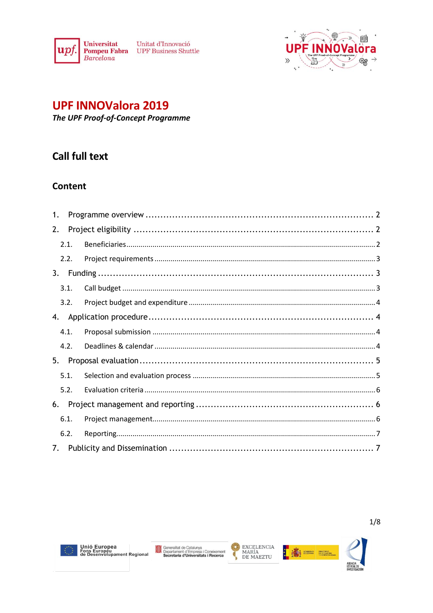

Unitat d'Innovació **Pompeu Fabra** UPF Business Shuttle



# **UPF INNOValora 2019**

The UPF Proof-of-Concept Programme

# **Call full text**

# **Content**

| 1.                             |  |  |  |
|--------------------------------|--|--|--|
| 2.                             |  |  |  |
| 2.1.                           |  |  |  |
| 2.2.                           |  |  |  |
| 3.                             |  |  |  |
| 3.1.                           |  |  |  |
| 3.2.                           |  |  |  |
| 4.                             |  |  |  |
| 4.1.                           |  |  |  |
| 4.2.                           |  |  |  |
| 5.                             |  |  |  |
| 5.1.                           |  |  |  |
| 5.2.                           |  |  |  |
| 6.                             |  |  |  |
| 6.1.                           |  |  |  |
| 6.2.                           |  |  |  |
| $7_{\scriptscriptstyle{\sim}}$ |  |  |  |





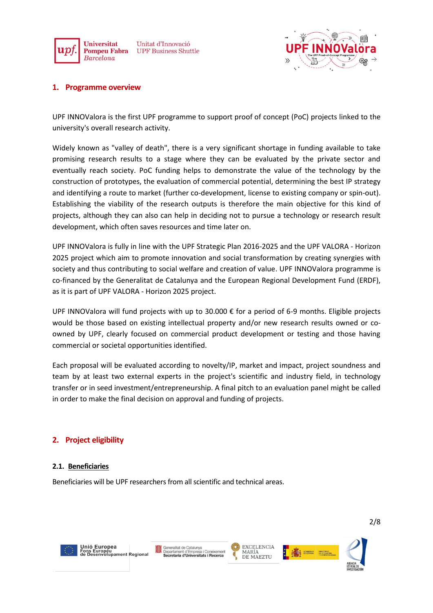



# <span id="page-1-0"></span>**1. Programme overview**

UPF INNOValora is the first UPF programme to support proof of concept (PoC) projects linked to the university's overall research activity.

Widely known as "valley of death", there is a very significant shortage in funding available to take promising research results to a stage where they can be evaluated by the private sector and eventually reach society. PoC funding helps to demonstrate the value of the technology by the construction of prototypes, the evaluation of commercial potential, determining the best IP strategy and identifying a route to market (further co-development, license to existing company or spin-out). Establishing the viability of the research outputs is therefore the main objective for this kind of projects, although they can also can help in deciding not to pursue a technology or research result development, which often saves resources and time later on.

UPF INNOValora is fully in line with the UPF Strategic Plan 2016-2025 and the UPF VALORA - Horizon 2025 project which aim to promote innovation and social transformation by creating synergies with society and thus contributing to social welfare and creation of value. UPF INNOValora programme is co-financed by the Generalitat de Catalunya and the European Regional Development Fund (ERDF), as it is part of UPF VALORA - Horizon 2025 project.

UPF INNOValora will fund projects with up to 30.000 € for a period of 6-9 months. Eligible projects would be those based on existing intellectual property and/or new research results owned or coowned by UPF, clearly focused on commercial product development or testing and those having commercial or societal opportunities identified.

Each proposal will be evaluated according to novelty/IP, market and impact, project soundness and team by at least two external experts in the project's scientific and industry field, in technology transfer or in seed investment/entrepreneurship. A final pitch to an evaluation panel might be called in order to make the final decision on approval and funding of projects.

# <span id="page-1-1"></span>**2. Project eligibility**

#### <span id="page-1-2"></span>**2.1. Beneficiaries**

Beneficiaries will be UPF researchers from all scientific and technical areas.



Unió Europea<br>Fons Europeu<br>de Desenvolupament Regional





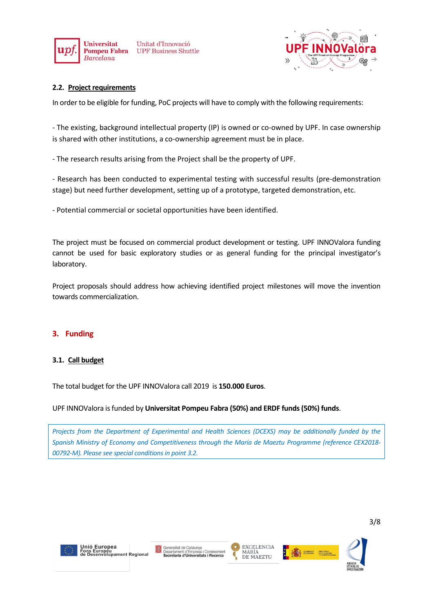



# <span id="page-2-0"></span>**2.2. Project requirements**

In order to be eligible for funding, PoC projects will have to comply with the following requirements:

- The existing, background intellectual property (IP) is owned or co-owned by UPF. In case ownership is shared with other institutions, a co-ownership agreement must be in place.

- The research results arising from the Project shall be the property of UPF.

- Research has been conducted to experimental testing with successful results (pre-demonstration stage) but need further development, setting up of a prototype, targeted demonstration, etc.

- Potential commercial or societal opportunities have been identified.

The project must be focused on commercial product development or testing. UPF INNOValora funding cannot be used for basic exploratory studies or as general funding for the principal investigator's laboratory.

Project proposals should address how achieving identified project milestones will move the invention towards commercialization.

# <span id="page-2-1"></span>**3. Funding**

#### <span id="page-2-2"></span>**3.1. Call budget**

The total budget for the UPF INNOValora call 2019 is **150.000 Euros**.

#### UPF INNOValora is funded by **Universitat Pompeu Fabra (50%) and ERDF funds(50%) funds**.

*Projects from the Department of Experimental and Health Sciences (DCEXS) may be additionally funded by the Spanish Ministry of Economy and Competitiveness through the María de Maeztu Programme (reference CEX2018- 00792-M). Please see special conditions in point 3.2.*







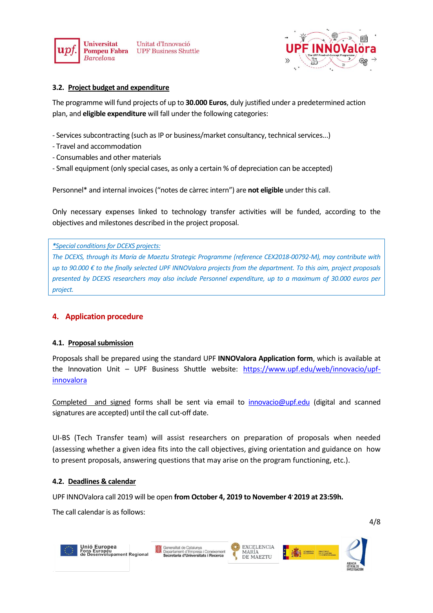



# <span id="page-3-0"></span>**3.2. Project budget and expenditure**

The programme will fund projects of up to **30.000 Euros**, duly justified under a predetermined action plan, and **eligible expenditure** will fall under the following categories:

- Services subcontracting (such as IP or business/market consultancy, technical services...)
- Travel and accommodation
- Consumables and other materials
- Small equipment (only special cases, as only a certain % of depreciation can be accepted)

Personnel\* and internal invoices ("notes de càrrec intern") are **not eligible** under this call.

Only necessary expenses linked to technology transfer activities will be funded, according to the objectives and milestones described in the project proposal.

*\*Special conditions for DCEXS projects:* 

*The DCEXS, through its María de Maeztu Strategic Programme (reference CEX2018-00792-M), may contribute with up to 90.000 € to the finally selected UPF INNOValora projects from the department. To this aim, project proposals presented by DCEXS researchers may also include Personnel expenditure, up to a maximum of 30.000 euros per project.* 

# <span id="page-3-1"></span>**4. Application procedure**

#### <span id="page-3-2"></span>**4.1. Proposal submission**

Proposals shall be prepared using the standard UPF **INNOValora Application form**, which is available at the Innovation Unit – UPF Business Shuttle website: [https://www.upf.edu/web/innovacio/upf](https://www.upf.edu/web/innovacio/upf-innovalora)[innovalora](https://www.upf.edu/web/innovacio/upf-innovalora)

Completed and signed forms shall be sent via email to [innovacio@upf.edu](mailto:innovacio@upf.edu) (digital and scanned signatures are accepted) until the call cut-off date.

UI-BS (Tech Transfer team) will assist researchers on preparation of proposals when needed (assessing whether a given idea fits into the call objectives, giving orientation and guidance on how to present proposals, answering questions that may arise on the program functioning, etc.).

#### <span id="page-3-3"></span>**4.2. Deadlines & calendar**

UPF INNOValora call 2019 will be open **from October 4, 2019 to November 4, 2019 at 23:59h.**

The call calendar is as follows:







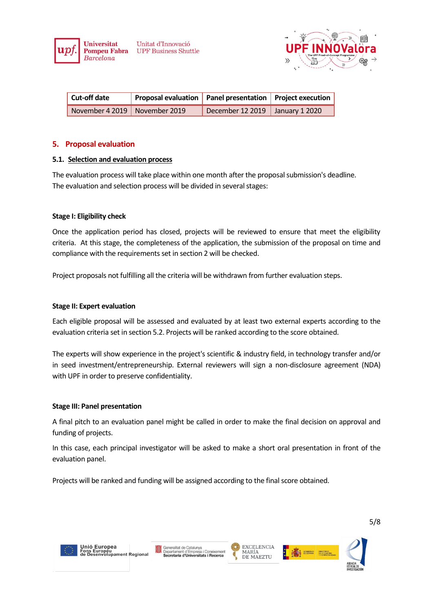



| $\vert$ Cut-off date            | Proposal evaluation   Panel presentation   Project execution |                                   |  |
|---------------------------------|--------------------------------------------------------------|-----------------------------------|--|
| November 4 2019   November 2019 |                                                              | December 12 2019   January 1 2020 |  |

#### <span id="page-4-0"></span>**5. Proposal evaluation**

#### <span id="page-4-1"></span>**5.1. Selection and evaluation process**

The evaluation process will take place within one month after the proposal submission's deadline. The evaluation and selection process will be divided in several stages:

# **Stage I: Eligibility check**

Once the application period has closed, projects will be reviewed to ensure that meet the eligibility criteria. At this stage, the completeness of the application, the submission of the proposal on time and compliance with the requirements set in section 2 will be checked.

Project proposals not fulfilling all the criteria will be withdrawn from further evaluation steps.

#### **Stage II: Expert evaluation**

Each eligible proposal will be assessed and evaluated by at least two external experts according to the evaluation criteria set in section 5.2. Projects will be ranked according to the score obtained.

The experts will show experience in the project's scientific & industry field, in technology transfer and/or in seed investment/entrepreneurship. External reviewers will sign a non-disclosure agreement (NDA) with UPF in order to preserve confidentiality.

#### **Stage III: Panel presentation**

A final pitch to an evaluation panel might be called in order to make the final decision on approval and funding of projects.

In this case, each principal investigator will be asked to make a short oral presentation in front of the evaluation panel.

Projects will be ranked and funding will be assigned according to the final score obtained.



Unió Europea Offio Europea<br>Fons Europeu<br>de Desenvolupament Regional





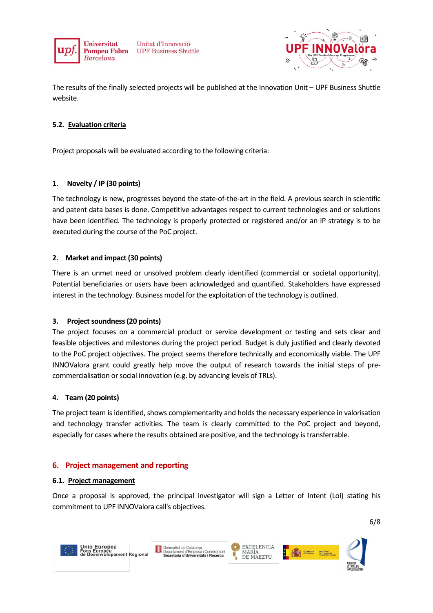

Unitat d'Innovació **UPF Business Shuttle** 



The results of the finally selected projects will be published at the Innovation Unit – UPF Business Shuttle website.

# <span id="page-5-0"></span>**5.2. Evaluation criteria**

Project proposals will be evaluated according to the following criteria:

# **1. Novelty / IP (30 points)**

The technology is new, progresses beyond the state-of-the-art in the field. A previous search in scientific and patent data bases is done. Competitive advantages respect to current technologies and or solutions have been identified. The technology is properly protected or registered and/or an IP strategy is to be executed during the course of the PoC project.

# **2. Market and impact (30 points)**

There is an unmet need or unsolved problem clearly identified (commercial or societal opportunity). Potential beneficiaries or users have been acknowledged and quantified. Stakeholders have expressed interest in the technology. Business model for the exploitation of the technology is outlined.

#### **3. Project soundness (20 points)**

The project focuses on a commercial product or service development or testing and sets clear and feasible objectives and milestones during the project period. Budget is duly justified and clearly devoted to the PoC project objectives. The project seems therefore technically and economically viable. The UPF INNOValora grant could greatly help move the output of research towards the initial steps of precommercialisation or social innovation (e.g. by advancing levels of TRLs).

#### **4. Team (20 points)**

The project team is identified, shows complementarity and holds the necessary experience in valorisation and technology transfer activities. The team is clearly committed to the PoC project and beyond, especially for cases where the results obtained are positive, and the technology is transferrable.

# <span id="page-5-1"></span>**6. Project management and reporting**

#### <span id="page-5-2"></span>**6.1. Project management**

Once a proposal is approved, the principal investigator will sign a Letter of Intent (LoI) stating his commitment to UPF INNOValora call's objectives.



Unió Europea<br>Fons Europeu<br>de Desenvolupament Regional







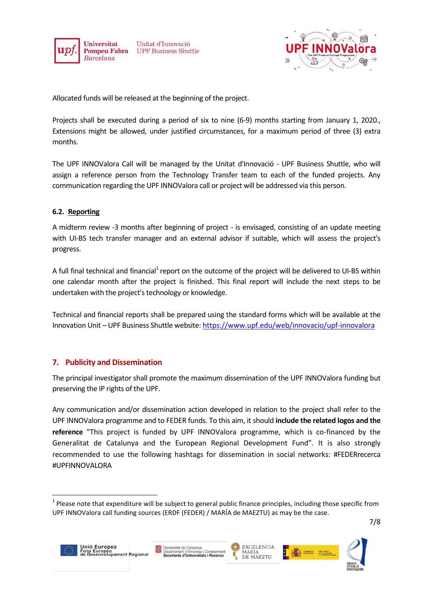

Unitat d'Innovació **UPF Business Shuttle** 



Allocated funds will be released at the beginning of the project.

Projects shall be executed during a period of six to nine (6-9) months starting from January 1, 2020., Extensions might be allowed, under justified circumstances, for a maximum period of three (3) extra months.

The UPF INNOValora Call will be managed by the Unitat d'Innovació - UPF Business Shuttle, who will assign a reference person from the Technology Transfer team to each of the funded projects. Any communication regarding the UPF INNOValora call or project will be addressed via this person.

# <span id="page-6-0"></span>**6.2. Reporting**

A midterm review -3 months after beginning of project - is envisaged, consisting of an update meeting with UI-BS tech transfer manager and an external advisor if suitable, which will assess the project's progress.

A full final technical and financial<sup>1</sup> report on the outcome of the project will be delivered to UI-BS within one calendar month after the project is finished. This final report will include the next steps to be undertaken with the project's technology or knowledge.

Technical and financial reports shall be prepared using the standard forms which will be available at the Innovation Unit – UPF Business Shuttle website: <https://www.upf.edu/web/innovacio/upf-innovalora>

# <span id="page-6-1"></span>**7. Publicity and Dissemination**

The principal investigator shall promote the maximum dissemination of the UPF INNOValora funding but preserving the IP rights of the UPF.

Any communication and/or dissemination action developed in relation to the project shall refer to the UPF INNOValora programme and to FEDER funds. To this aim, it should **include the related logos and the reference** "This project is funded by UPF INNOValora programme, which is co-financed by the Generalitat de Catalunya and the European Regional Development Fund". It is also strongly recommended to use the following hashtags for dissemination in social networks: #FEDERrecerca #UPFINNOVALORA

1







 $1$  Please note that expenditure will be subject to general public finance principles, including those specific from UPF INNOValora call funding sources (ERDF (FEDER) / MARÍA de MAEZTU) as may be the case.